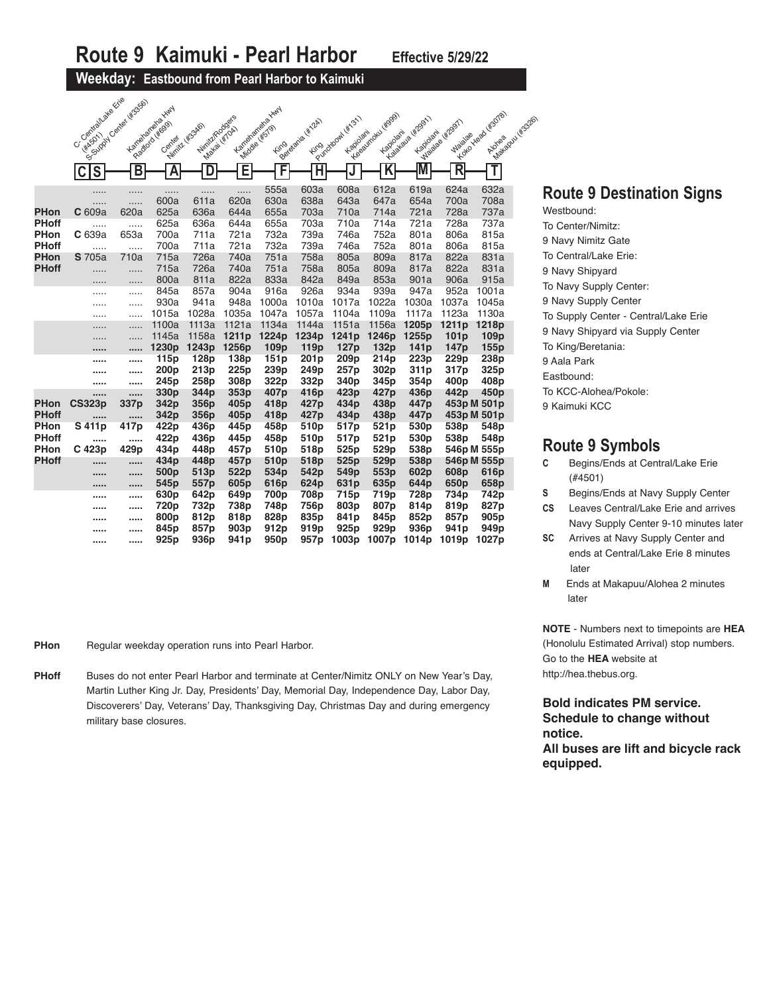#### **Weekday: Eastbound from Pearl Harbor to Kaimuki**

a Krie assol

|              | C. (elemental algebraic      | You content world in the | Karterandre Karyl        |                  |                          |                          |                          |                          |                         |                          |                   |                                      |
|--------------|------------------------------|--------------------------|--------------------------|------------------|--------------------------|--------------------------|--------------------------|--------------------------|-------------------------|--------------------------|-------------------|--------------------------------------|
|              |                              |                          |                          | Nimit/Rodge's    |                          | Karterandrehausta Kiny   | Beleidaria Hitlah        | Forecastooth (str.51)    | Telephone (#999)        | Y Japitalia (47991)      | Maiage HEDST      | You you do ws0781<br>Makedou Likeson |
|              |                              |                          | Faatlord (#ggs)          | Winite Wasapo    | Makai Wiroki             | <b>Middle (#579)</b>     |                          | Kapiolani                | Kapiolari               | Kapidani                 |                   |                                      |
|              |                              |                          | Genter                   |                  |                          | <b>Fing</b>              |                          |                          |                         |                          | Waialae           |                                      |
|              |                              |                          |                          |                  |                          |                          |                          |                          |                         |                          |                   |                                      |
|              | $\overline{\mathbf{s}}$<br>C | $\overline{\mathsf{B}}$  | $\overline{\mathsf{A}}$  | D                | Ε                        | F                        | Ĥ                        |                          | $\overline{\mathsf{K}}$ |                          | R                 | T                                    |
|              |                              |                          |                          |                  |                          | 555a                     | 603a                     | 608a                     | 612a                    | 619a                     | 624a              | 632a                                 |
|              |                              | .                        | .<br>600a                | .<br>611a        | .<br>620a                | 630a                     | 638a                     | 643a                     | 647a                    | 654a                     | 700a              | 708a                                 |
| <b>PHon</b>  | .<br>C <sub>609a</sub>       | .<br>620a                | 625a                     | 636a             | 644a                     | 655a                     | 703a                     | 710a                     | 714a                    | 721a                     | 728a              | 737a                                 |
| <b>PHoff</b> | .                            | .                        | 625a                     | 636a             | 644a                     | 655a                     | 703a                     | 710a                     | 714a                    | 721a                     | 728a              | 737a                                 |
| <b>PHon</b>  | C 639a                       | 653a                     | 700a                     | 711a             | 721a                     | 732a                     | 739a                     | 746a                     | 752a                    | 801a                     | 806a              | 815a                                 |
| <b>PHoff</b> | .                            | .                        | 700a                     | 711a             | 721a                     | 732a                     | 739a                     | 746a                     | 752a                    | 801a                     | 806a              | 815a                                 |
| <b>PHon</b>  | <b>S</b> 705a                | 710a                     | 715a                     | 726a             | 740a                     | 751a                     | 758a                     | 805a                     | 809a                    | 817a                     | 822a              | 831a                                 |
| <b>PHoff</b> |                              | .                        | 715a                     | 726a             | 740a                     | 751a                     | 758a                     | 805a                     | 809a                    | 817a                     | 822a              | 831a                                 |
|              |                              | .                        | 800a                     | 811a             | 822a                     | 833a                     | 842a                     | 849a                     | 853a                    | 901a                     | 906a              | 915a                                 |
|              |                              | .                        | 845a                     | 857a             | 904a                     | 916a                     | 926a                     | 934a                     | 939a                    | 947a                     | 952a              | 1001a                                |
|              | .                            | .                        | 930a                     | 941a             | 948a                     | 1000a                    | 1010a                    | 1017a                    | 1022a                   | 1030a                    | 1037a             | 1045a                                |
|              |                              | .                        | 1015a                    | 1028a            | 1035a                    | 1047a                    | 1057a                    | 1104a                    | 1109a                   | 1117a                    | 1123a             | 1130a                                |
|              | .                            | .                        | 1100a                    | 1113a            | 1121a                    | 1134a                    | 1144a                    | 1151a                    | 1156a                   | 1205p                    | 1211 <sub>p</sub> | 1218p                                |
|              |                              |                          | 1145a                    | 1158a            | 1211p                    | 1224p                    | 1234p                    | 1241p                    | 1246p                   | 1255p                    | 101 <sub>p</sub>  | 109 <sub>p</sub>                     |
|              |                              |                          | 1230 <sub>p</sub>        | 1243p            | 1256p                    | 109 <sub>p</sub>         | 119 <sub>p</sub>         | 127 <sub>p</sub>         | 132 <sub>p</sub>        | 141 <sub>p</sub>         | 147 <sub>p</sub>  | 155p                                 |
|              |                              |                          | 115p                     | 128p             | 138p                     | 151p                     | 201 <sub>p</sub>         | 209 <sub>p</sub>         | 214 <sub>p</sub>        | 223p                     | 229 <sub>p</sub>  | 238 <sub>p</sub>                     |
|              |                              |                          | 200 <sub>p</sub>         | 213p             | 225 <sub>p</sub>         | 239p                     | 249p                     | 257 <sub>p</sub>         | 302p                    | 311p                     | 317p              | 325p                                 |
|              |                              |                          | 245 <sub>p</sub>         | 258p<br>344p     | 308p                     | 322p                     | 332p                     | 340 <sub>p</sub><br>423p | 345p                    | 354p<br>436 <sub>p</sub> | 400 <sub>p</sub>  | 408p                                 |
| <b>PHon</b>  | <br><b>CS323p</b>            | <br>337p                 | 330 <sub>p</sub><br>342p | 356p             | 353p<br>405 <sub>p</sub> | 407 <sub>p</sub><br>418p | 416p<br>427 <sub>p</sub> | 434p                     | 427p<br>438p            | 447 <sub>p</sub>         | 442p              | 450 <sub>p</sub><br>453p M 501p      |
| <b>PHoff</b> |                              |                          | 342p                     | 356p             | 405 <sub>p</sub>         | 418p                     | 427p                     | 434p                     | 438p                    | 447p                     |                   | 453p M 501p                          |
| PHon         | <br>S 411p                   | <br>417p                 | 422p                     | 436p             | 445p                     | 458p                     | 510p                     | 517p                     | 521 <sub>p</sub>        | 530p                     | 538p              | 548p                                 |
| <b>PHoff</b> |                              |                          | 422p                     | 436p             | 445p                     | 458p                     | 510 <sub>p</sub>         | 517p                     | 521 <sub>p</sub>        | 530p                     | 538p              | 548p                                 |
| <b>PHon</b>  | C 423p                       | 429p                     | 434p                     | 448p             | 457p                     | 510 <sub>p</sub>         | 518p                     | 525 <sub>p</sub>         | 529p                    | 538p                     |                   | 546p M 555p                          |
| <b>PHoff</b> |                              |                          | 434p                     | 448p             | 457 <sub>p</sub>         | 510 <sub>p</sub>         | 518p                     | 525 <sub>p</sub>         | 529 <sub>p</sub>        | 538p                     |                   | 546p M 555p                          |
|              |                              |                          | 500p                     | 513p             | 522p                     | 534p                     | 542p                     | 549 <sub>p</sub>         | 553p                    | 602p                     | 608p              | 616p                                 |
|              | 1.1.1.1                      |                          | 545 <sub>p</sub>         | 557p             | 605 <sub>p</sub>         | 616p                     | 624 <sub>p</sub>         | 631 <sub>p</sub>         | 635 <sub>p</sub>        | 644p                     | 650 <sub>p</sub>  | 658p                                 |
|              |                              |                          | 630p                     | 642p             | 649p                     | 700p                     | 708p                     | 715p                     | 719 <sub>p</sub>        | 728p                     | 734p              | 742p                                 |
|              |                              |                          | 720p                     | 732p             | 738p                     | 748p                     | 756p                     | 803p                     | 807p                    | 814p                     | 819p              | 827p                                 |
|              |                              |                          | 800p                     | 812p             | 818p                     | 828p                     | 835p                     | 841p                     | 845p                    | 852p                     | 857p              | 905 <sub>p</sub>                     |
|              |                              |                          | 845p                     | 857p             | 903 <sub>p</sub>         | 912p                     | 919 <sub>p</sub>         | 925 <sub>p</sub>         | 929 <sub>p</sub>        | 936p                     | 941 <sub>p</sub>  | 949 <sub>p</sub>                     |
|              |                              |                          | 925p                     | 936 <sub>p</sub> | 941 <sub>p</sub>         | 950 <sub>p</sub>         | 957 <sub>p</sub>         | 1003 <sub>p</sub>        | 1007p                   | 1014p                    | 1019p             | 1027p                                |

- **PHon Regular weekday operation runs into Pearl Harbor.**
- **PHoff** Buses do not enter Pearl Harbor and terminate at Center/Nimitz ONLY on New Year's Day, Martin Luther King Jr. Day, Presidents' Day, Memorial Day, Independence Day, Labor Day, Discoverers' Day, Veterans' Day, Thanksgiving Day, Christmas Day and during emergency military base closures.

### **Route 9 Destination Signs**

Westbound: To Center/Nimitz: 9 Navy Nimitz Gate To Central/Lake Erie: 9 Navy Shipyard To Navy Supply Center: 9 Navy Supply Center To Supply Center - Central/Lake Erie 9 Navy Shipyard via Supply Center To King/Beretania: 9 Aala Park Eastbound: To KCC-Alohea/Pokole: 9 Kaimuki KCC

### **Route 9 Symbols**

- **C** Begins/Ends at Central/Lake Erie (#4501)
- **S** Begins/Ends at Navy Supply Center
- **CS** Leaves Central/Lake Erie and arrives Navy Supply Center 9-10 minutes later
- **SC** Arrives at Navy Supply Center and ends at Central/Lake Erie 8 minutes later
- **M** Ends at Makapuu/Alohea 2 minutes later

**NOTE** - Numbers next to timepoints are **HEA** (Honolulu Estimated Arrival) stop numbers. Go to the **HEA** website at http://hea.thebus.org.

**Bold indicates PM service. Schedule to change without notice. All buses are lift and bicycle rack** 

**equipped.**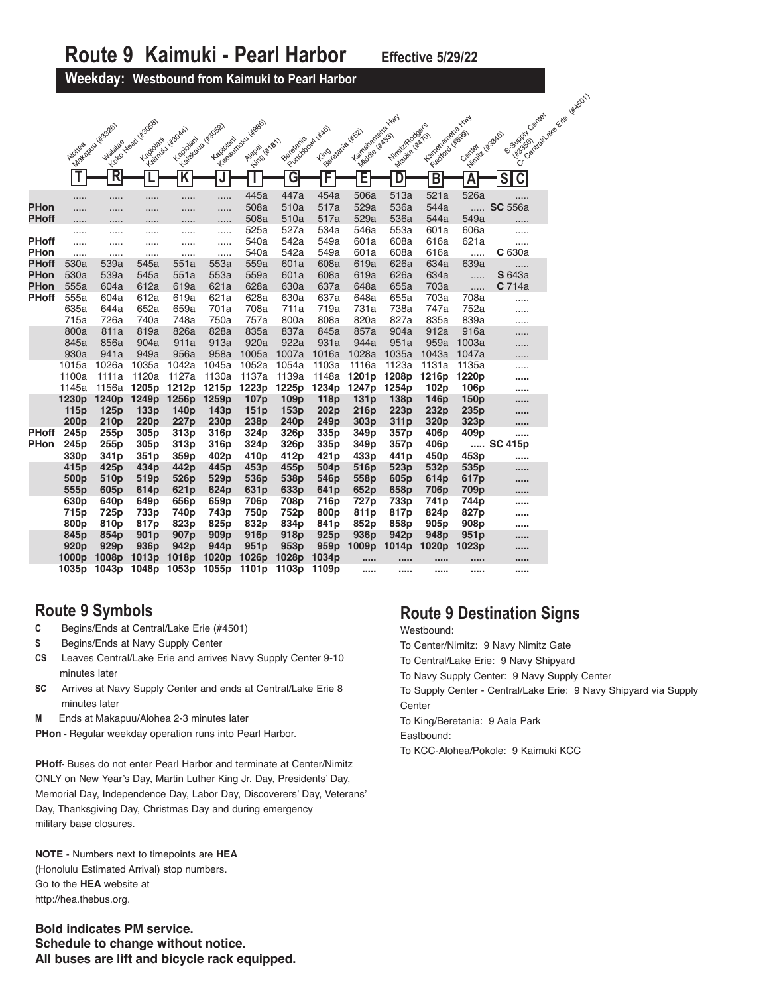**Weekday: Westbound from Kaimuki to Pearl Harbor**

|              |                          |                          |                          |                          |                                      |                                      |                          |                          |                                         |                               |                           |                           | · Contratt de Grie (#16501)  |
|--------------|--------------------------|--------------------------|--------------------------|--------------------------|--------------------------------------|--------------------------------------|--------------------------|--------------------------|-----------------------------------------|-------------------------------|---------------------------|---------------------------|------------------------------|
|              |                          |                          | Y Colcilia Kada Kasaal   |                          |                                      |                                      |                          |                          | Kanaganahaya Huy                        |                               | Kartarananaka Huy         |                           | S.Supply Canal               |
|              |                          | Makapul (Ks326)          |                          | Keimuk Hisolah           | Y value of Higgs 2<br>Kapiolani      | Lee expredi years                    | Berefarita               | Purchagam (KAS)          | Beideania (#52)<br><b>Middle (#K53)</b> | Nimit/Rodge's<br>Mayka (#ATO) | Paddod (#099)             | Winite Wagapo             | 483561                       |
|              | Alones                   | <b>Wajalae</b>           | Kapiolani                | Kapiolani                |                                      | King (KNB)                           |                          |                          |                                         |                               |                           | Center                    | ์ซ                           |
|              |                          | $\overline{\mathsf{R}}$  |                          | ĸ                        | J                                    |                                      | G                        | F                        | E                                       | D                             | B                         | $\overline{\mathsf{A}}$   | $\overline{\mathsf{C}}$<br>S |
|              | .                        |                          | .                        | .                        | .                                    | 445a                                 | 447a                     | 454a                     | 506a                                    | 513a                          | 521a                      | 526a                      | .                            |
| <b>PHon</b>  | .                        |                          |                          | .                        | .                                    | 508a                                 | 510a                     | 517a                     | 529a                                    | 536a                          | 544a                      | .                         | <b>SC</b> 556a               |
| <b>PHoff</b> | .                        |                          |                          | .                        | .                                    | 508a<br>525a                         | 510a<br>527a             | 517a<br>534a             | 529a<br>546a                            | 536a<br>553a                  | 544a<br>601a              | 549a<br>606a              |                              |
| <b>PHoff</b> | <br>.                    | .                        |                          | .                        | .                                    | 540a                                 | 542a                     | 549a                     | 601a                                    | 608a                          | 616a                      | 621a                      | .<br>                        |
| PHon         | .                        | .                        | .<br>.                   | .<br>.                   | .<br>                                | 540a                                 | 542a                     | 549a                     | 601a                                    | 608a                          | 616a                      |                           | C 630a                       |
| <b>PHoff</b> | 530a                     | 539a                     | 545a                     | 551a                     | 553a                                 | 559a                                 | 601a                     | 608a                     | 619a                                    | 626a                          | 634a                      | 639a                      | .                            |
| <b>PHon</b>  | 530a                     | 539a                     | 545a                     | 551a                     | 553a                                 | 559a                                 | 601a                     | 608a                     | 619a                                    | 626a                          | 634a                      | .                         | <b>S</b> 643a                |
| <b>PHon</b>  | 555a                     | 604a                     | 612a                     | 619a                     | 621a                                 | 628a                                 | 630a                     | 637a                     | 648a                                    | 655a                          | 703a                      | .                         | C <sub>714a</sub>            |
| <b>PHoff</b> | 555a                     | 604a                     | 612a                     | 619a                     | 621a                                 | 628a                                 | 630a                     | 637a                     | 648a                                    | 655a                          | 703a                      | 708a                      |                              |
|              | 635a                     | 644a                     | 652a                     | 659a                     | 701a                                 | 708a                                 | 711a                     | 719a                     | 731a                                    | 738a                          | 747a                      | 752a                      |                              |
|              | 715a<br>800a             | 726a<br>811a             | 740a<br>819a             | 748a<br>826a             | 750a<br>828a                         | 757a<br>835a                         | 800a<br>837a             | 808a<br>845a             | 820a<br>857a                            | 827a<br>904a                  | 835a<br>912a              | 839a<br>916a              | .                            |
|              | 845a                     | 856a                     | 904a                     | 911a                     | 913a                                 | 920a                                 | 922a                     | 931a                     | 944a                                    | 951a                          | 959a                      | 1003a                     | .                            |
|              | 930a                     | 941a                     | 949a                     | 956a                     | 958a                                 | 1005a                                | 1007a                    | 1016a                    | 1028a                                   | 1035a                         | 1043a                     | 1047a                     | .                            |
|              | 1015a                    | 1026a                    | 1035a                    | 1042a                    | 1045a                                | 1052a                                | 1054a                    | 1103a                    | 1116a                                   | 1123a                         | 1131a                     | 1135a                     | .                            |
|              | 1100a                    | 1111a                    | 1120a                    | 1127a                    | 1130a                                | 1137a                                | 1139a                    | 1148a                    | 1201 <sub>p</sub>                       | 1208p                         | 1216p                     | 1220p                     |                              |
|              | 1145a                    | 1156a                    | 1205p                    | 1212p                    | 1215p                                | 1223p                                | 1225p                    | 1234p                    | 1247p                                   | 1254p                         | 102p                      | 106p                      |                              |
|              | 1230 <sub>p</sub>        | 1240 <sub>p</sub>        | 1249 <sub>p</sub>        | 1256p                    | 1259p                                | 107 <sub>p</sub>                     | 109 <sub>p</sub>         | 118p                     | 131p                                    | 138p                          | 146 <sub>p</sub>          | 150 <sub>p</sub>          | 1.1.1.1                      |
|              | 115p                     | 125p                     | 133p                     | 140p                     | 143p                                 | 151p                                 | 153p                     | 202p                     | 216p                                    | 223p                          | 232p                      | 235 <sub>p</sub>          |                              |
| <b>PHoff</b> | 200 <sub>p</sub><br>245p | 210 <sub>p</sub><br>255p | 220 <sub>p</sub><br>305p | 227 <sub>p</sub>         | 230 <sub>p</sub>                     | 238p                                 | 240 <sub>p</sub>         | 249 <sub>p</sub><br>335p | 303 <sub>p</sub>                        | 311p                          | 320 <sub>p</sub>          | 323p                      | $\cdots$                     |
| <b>PHon</b>  | 245 <sub>p</sub>         | 255p                     | 305 <sub>p</sub>         | 313p<br>313p             | 316p<br>316p                         | 324p<br>324 <sub>p</sub>             | 326p<br>326 <sub>p</sub> | 335 <sub>p</sub>         | 349p<br>349 <sub>p</sub>                | 357p<br>357p                  | 406p<br>406 <sub>p</sub>  | 409p<br>                  | <br><b>SC 415p</b>           |
|              | 330p                     | 341 <sub>p</sub>         | 351p                     | 359p                     | 402p                                 | 410p                                 | 412p                     | 421 <sub>p</sub>         | 433p                                    | 441 <sub>p</sub>              | 450p                      | 453p                      |                              |
|              | 415 <sub>p</sub>         | 425 <sub>p</sub>         | 434p                     | 442p                     | 445p                                 | 453p                                 | 455p                     | 504p                     | 516 <sub>p</sub>                        | 523p                          | 532p                      | 535p                      | 1.1.1.1                      |
|              | 500 <sub>p</sub>         | 510 <sub>p</sub>         | 519p                     | 526p                     | 529p                                 | 536p                                 | 538p                     | 546p                     | 558p                                    | 605p                          | 614p                      | 617p                      |                              |
|              | 555p                     | 605 <sub>p</sub>         | 614p                     | 621 <sub>p</sub>         | 624p                                 | 631 <sub>p</sub>                     | 633p                     | 641 <sub>p</sub>         | 652p                                    | 658p                          | 706 <sub>p</sub>          | 709 <sub>p</sub>          | 1.1.1.1                      |
|              | 630p                     | 640p                     | 649p                     | 656p                     | 659p                                 | 706p                                 | 708p                     | 716p                     | 727p                                    | 733p                          | 741 <sub>p</sub>          | 744p                      |                              |
|              | 715p                     | 725 <sub>p</sub>         | 733p                     | 740p                     | 743p                                 | 750p                                 | 752p                     | 800 <sub>p</sub>         | 811p                                    | 817p                          | 824p                      | 827p                      |                              |
|              | 800p                     | 810p                     | 817p                     | 823p                     | 825p                                 | 832p                                 | 834p                     | 841p                     | 852p                                    | 858p                          | 905 <sub>p</sub>          | 908p                      |                              |
|              | 845p<br>920p             | 854p<br>929p             | 901 <sub>p</sub><br>936p | 907 <sub>p</sub><br>942p | 909 <sub>p</sub><br>944 <sub>p</sub> | 916 <sub>p</sub><br>951 <sub>p</sub> | 918p<br>953p             | 925 <sub>p</sub><br>959p | 936 <sub>p</sub><br>1009p               | 942 <sub>p</sub><br>1014p     | 948 <sub>p</sub><br>1020p | 951 <sub>p</sub><br>1023p |                              |
|              | 1000 <sub>p</sub>        | 1008 <sub>p</sub>        | 1013 <sub>p</sub>        | 1018p                    | 1020p                                | 1026p                                | 1028p                    | 1034 <sub>p</sub>        | $\cdots$                                |                               |                           |                           | <br>                         |
|              | 1035p                    | 1043p                    | 1048p                    | 1053p                    | 1055p                                | 1101 <sub>p</sub>                    | 1103p                    | 1109p                    |                                         |                               |                           |                           | 1.1.1.1                      |

# **Route 9 Symbols**

- **C** Begins/Ends at Central/Lake Erie (#4501)
- **S** Begins/Ends at Navy Supply Center
- **CS** Leaves Central/Lake Erie and arrives Navy Supply Center 9-10 minutes later
- **SC** Arrives at Navy Supply Center and ends at Central/Lake Erie 8 minutes later
- **M** Ends at Makapuu/Alohea 2-3 minutes later

**PHon -** Regular weekday operation runs into Pearl Harbor.

**PHoff-** Buses do not enter Pearl Harbor and terminate at Center/Nimitz ONLY on New Year's Day, Martin Luther King Jr. Day, Presidents' Day, Memorial Day, Independence Day, Labor Day, Discoverers' Day, Veterans' Day, Thanksgiving Day, Christmas Day and during emergency military base closures.

**NOTE** - Numbers next to timepoints are **HEA** (Honolulu Estimated Arrival) stop numbers. Go to the **HEA** website at http://hea.thebus.org.

**Bold indicates PM service. Schedule to change without notice. All buses are lift and bicycle rack equipped.**

### **Route 9 Destination Signs**

Westbound:

- To Center/Nimitz: 9 Navy Nimitz Gate
- To Central/Lake Erie: 9 Navy Shipyard
- To Navy Supply Center: 9 Navy Supply Center

To Supply Center - Central/Lake Erie: 9 Navy Shipyard via Supply **Center** 

- To King/Beretania: 9 Aala Park
- Eastbound:
- To KCC-Alohea/Pokole: 9 Kaimuki KCC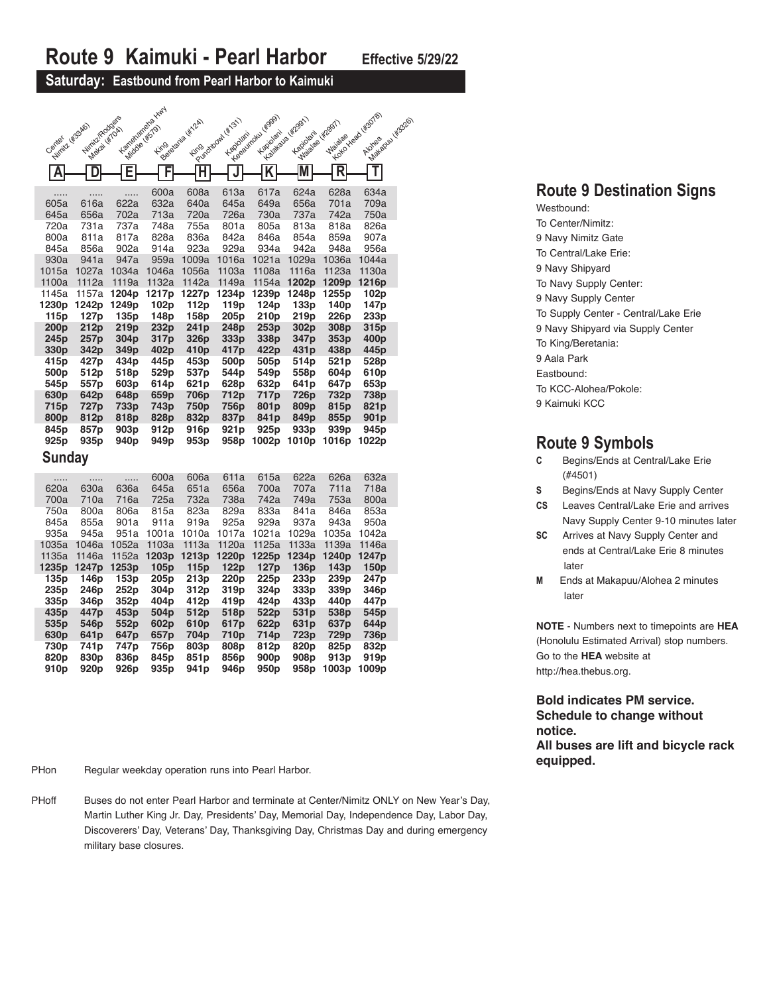#### **Saturday: Eastbound from Pearl Harbor to Kaimuki**

|                                      |                                  |                  | Lementariana Hard              |                          |                              | Levelainder (4999)      | Y Balance of Report<br>A Wallace of H2OST | TT Maia Read rigords      | Margaret Wasse           |
|--------------------------------------|----------------------------------|------------------|--------------------------------|--------------------------|------------------------------|-------------------------|-------------------------------------------|---------------------------|--------------------------|
| Central desapo                       | Nimit/Roaders<br>Miller Hill Cal |                  | Middle (Kingda)<br><b>Fing</b> | Luisa dana kitak         | Putokoon (Krst)<br>Kapiolani | Kapiolarii              |                                           |                           |                          |
|                                      |                                  |                  |                                |                          |                              | $\overline{\mathsf{K}}$ | M                                         | R                         |                          |
| A                                    | D                                | Ε                | F                              | н                        |                              |                         |                                           |                           |                          |
| .                                    | .                                | .                | 600a                           | 608a                     | 613a                         | 617a                    | 624a                                      | 628a                      | 634a                     |
| 605a<br>645a                         | 616a<br>656a                     | 622a<br>702a     | 632a<br>713a                   | 640a<br>720a             | 645a<br>726a                 | 649a<br>730a            | 656a<br>737a                              | 701a<br>742a              | 709a<br>750a             |
| 720a                                 | 731a                             | 737a             | 748a                           | 755a                     | 801a                         | 805a                    | 813a                                      | 818a                      | 826a                     |
| 800a                                 | 811a                             | 817a             | 828a                           | 836a                     | 842a                         | 846a                    | 854a                                      | 859a                      | 907a                     |
| 845a                                 | 856a                             | 902a             | 914a                           | 923a                     | 929a                         | 934a                    | 942a                                      | 948a                      | 956a                     |
| 930a                                 | 941a                             | 947a             | 959a                           | 1009a                    | 1016a                        | 1021a                   | 1029a                                     | 1036a                     | 1044a                    |
| 1015a                                | 1027a                            | 1034a            | 1046a                          | 1056a                    | 1103a                        | 1108a                   | 1116a                                     | 1123a                     | 1130a                    |
| 1100a                                | 1112a                            | 1119a            | 1132a                          | 1142a                    | 1149a                        | 1154a                   | 1202p                                     | 1209 <sub>p</sub>         | 1216p                    |
| 1145a<br>1230p                       | 1157a<br>1242p                   | 1204p<br>1249p   | 1217p<br>102p                  | 1227p<br>112p            | 1234p<br>119p                | 1239p<br>124p           | 1248p<br>133p                             | 1255p<br>140 <sub>p</sub> | 102p<br>147 <sub>p</sub> |
| 115p                                 | 127 <sub>p</sub>                 | 135p             | 148p                           | 158p                     | 205p                         | 210p                    | 219p                                      | 226p                      | 233p                     |
| 200 <sub>p</sub>                     | 212p                             | 219p             | 232p                           | 241 <sub>p</sub>         | 248p                         | 253p                    | 302p                                      | 308p                      | 315p                     |
| 245 <sub>p</sub>                     | 257p                             | 304 <sub>p</sub> | 317p                           | 326p                     | 333p                         | 338p                    | 347 <sub>p</sub>                          | 353p                      | 400 <sub>p</sub>         |
| 330 <sub>p</sub>                     | 342p                             | 349 <sub>p</sub> | 402p                           | 410 <sub>p</sub>         | 417p                         | 422p                    | 431 <sub>p</sub>                          | 438p                      | 445p                     |
| 415p                                 | 427p                             | 434p             | 445p                           | 453p                     | 500 <sub>p</sub>             | 505p                    | 514p                                      | 521p                      | 528p                     |
| 500 <sub>p</sub>                     | 512p                             | 518p             | 529p                           | 537p                     | 544p                         | 549p                    | 558p                                      | 604p                      | 610p                     |
| 545 <sub>p</sub><br>630 <sub>p</sub> | 557p<br>642p                     | 603p<br>648p     | 614p<br>659p                   | 621 <sub>p</sub><br>706p | 628p<br>712p                 | 632p<br>717p            | 641 <sub>p</sub><br>726p                  | 647 <sub>p</sub><br>732p  | 653p<br>738p             |
| 715p                                 | 727p                             | 733p             | 743p                           | 750 <sub>p</sub>         | 756p                         | 801 <sub>p</sub>        | 809p                                      | 815p                      | 821p                     |
| 800p                                 | 812p                             | 818p             | 828p                           | 832p                     | 837p                         | 841 <sub>p</sub>        | 849p                                      | 855p                      | 901 <sub>p</sub>         |
| 845p                                 | 857p                             | 903 <sub>p</sub> | 912p                           | 916 <sub>p</sub>         | 921 <sub>p</sub>             | 925p                    | 933p                                      | 939 <sub>p</sub>          | 945 <sub>p</sub>         |
| 925 <sub>p</sub>                     | 935 <sub>p</sub>                 | 940 <sub>p</sub> | 949 <sub>p</sub>               | 953p                     | 958p                         | 1002p                   | 1010p                                     | 1016p                     | 1022p                    |
| Sunday                               |                                  |                  |                                |                          |                              |                         |                                           |                           |                          |
|                                      |                                  |                  |                                |                          |                              |                         |                                           |                           |                          |
| .                                    | .                                | .                | 600a                           | 606a                     | 611a                         | 615a                    | 622a                                      | 626a                      | 632a                     |
| 620a<br>700a                         | 630a<br>710a                     | 636a<br>716a     | 645a<br>725a                   | 651a<br>732a             | 656a<br>738a                 | 700a<br>742a            | 707a<br>749a                              | 711a<br>753a              | 718a<br>800a             |
| 750a                                 | 800a                             | 806a             | 815a                           | 823a                     | 829a                         | 833a                    | 841a                                      | 846a                      | 853a                     |
| 845a                                 | 855a                             | 901a             | 911a                           | 919a                     | 925a                         | 929a                    | 937a                                      | 943a                      | 950a                     |
| 935a                                 | 945a                             | 951a             | 1001a                          | 1010a                    | 1017a                        | 1021a                   | 1029a                                     | 1035a                     | 1042a                    |
| 1035a                                | 1046a                            | 1052a            | 1103a                          | 1113a                    | 1120a                        | 1125a                   | 1133a                                     | 1139a                     | 1146a                    |
| 1135a                                | 1146a                            | 1152a            | 1203p                          | 1213p                    | 1220p                        | 1225p                   | 1234p                                     | 1240 <sub>p</sub>         | 1247p                    |
| 1235p                                | 1247p                            | 1253p            | 105 <sub>p</sub>               | 115p                     | 122p                         | 127 <sub>p</sub>        | 136p                                      | 143p                      | 150p                     |
| 135p                                 | 146p                             | 153p             | 205p                           | 213p                     | 220p                         | 225 <sub>p</sub>        | 233p                                      | 239 <sub>p</sub>          | 247 <sub>p</sub>         |

**235p 246p 252p 304p 312p 319p 324p 333p 339p 346p 335p 346p 352p 404p 412p 419p 424p 433p 440p 447p 435p 447p 453p 504p 512p 518p 522p 531p 538p 545p 535p 546p 552p 602p 610p 617p 622p 631p 637p 644p 630p 641p 647p 657p 704p 710p 714p 723p 729p 736p 730p 741p 747p 756p 803p 808p 812p 820p 825p 832p 820p 830p 836p 845p 851p 856p 900p 908p 913p 919p 910p 920p 926p 935p 941p 946p 950p 958p 1003p 1009p**

**PHon Regular weekday operation runs into Pearl Harbor. Example 1 and Sequipped. PHon Requipped.** 

PHoff Buses do not enter Pearl Harbor and terminate at Center/Nimitz ONLY on New Year's Day, Martin Luther King Jr. Day, Presidents' Day, Memorial Day, Independence Day, Labor Day, Discoverers' Day, Veterans' Day, Thanksgiving Day, Christmas Day and during emergency military base closures.

### **Route 9 Destination Signs**

Westbound: To Center/Nimitz: 9 Navy Nimitz Gate To Central/Lake Erie: 9 Navy Shipyard To Navy Supply Center: 9 Navy Supply Center To Supply Center - Central/Lake Erie 9 Navy Shipyard via Supply Center To King/Beretania: 9 Aala Park Eastbound: To KCC-Alohea/Pokole: 9 Kaimuki KCC

#### **Route 9 Symbols**

- **C** Begins/Ends at Central/Lake Erie (#4501)
- **S** Begins/Ends at Navy Supply Center
- **CS** Leaves Central/Lake Erie and arrives Navy Supply Center 9-10 minutes later
- **SC** Arrives at Navy Supply Center and ends at Central/Lake Erie 8 minutes later
- **M** Ends at Makapuu/Alohea 2 minutes later

**NOTE** - Numbers next to timepoints are **HEA** (Honolulu Estimated Arrival) stop numbers. Go to the **HEA** website at http://hea.thebus.org.

**Bold indicates PM service. Schedule to change without notice. All buses are lift and bicycle rack**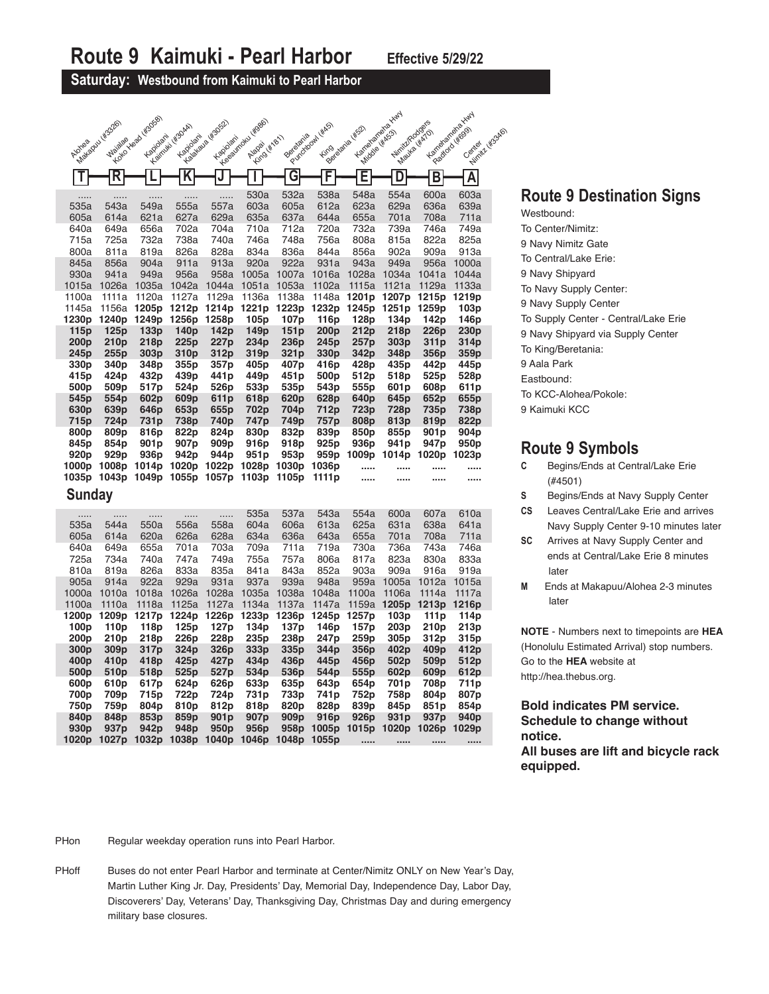**Saturday: Westbound from Kaimuki to Pearl Harbor**

|                  |                           |                                 |                                     |                           |                                     |                          | Poucostanislavel         | Kampangkakakak                    |                          |                          |                                                            |
|------------------|---------------------------|---------------------------------|-------------------------------------|---------------------------|-------------------------------------|--------------------------|--------------------------|-----------------------------------|--------------------------|--------------------------|------------------------------------------------------------|
|                  |                           |                                 |                                     |                           |                                     |                          |                          |                                   |                          |                          |                                                            |
| Alohea           | Availabasu (KS326)        | TT LONDON BOD MSDSD<br>Kapidlam | - explorative describin<br>Kapidari | Accionation of Wagazi     | Y de gammatu wageo<br>Alapa ( 4181) |                          |                          | Lingwatia (Kis2)<br>Middle (KIGS) | Nimit/Rodges             | Mayka (KATO)             | Lamoston Maryland<br>Production ( Wood)<br>Pulmit & Ws340) |
|                  | R                         |                                 | $\overline{\mathsf{K}}$             | J                         |                                     | $\overline{\mathsf{G}}$  | F                        |                                   | D                        |                          | Ā                                                          |
|                  |                           |                                 |                                     |                           |                                     |                          |                          | Е                                 |                          | $\overline{B}$           |                                                            |
| 535a             | 543a                      | .<br>549a                       | .<br>555a                           | .<br>557a                 | 530a<br>603a                        | 532a<br>605a             | 538a<br>612a             | 548a<br>623a                      | 554a<br>629a             | 600a<br>636a             | 603a<br>639a                                               |
| 605a             | 614a                      | 621a                            | 627a                                | 629a                      | 635a                                | 637a                     | 644a                     | 655a                              | 701a                     | 708a                     | 711a                                                       |
| 640a             | 649a                      | 656a                            | 702a                                | 704a                      | 710a                                | 712a                     | 720a                     | 732a                              | 739a                     | 746a                     | 749a                                                       |
| 715a             | 725a                      | 732a                            | 738a                                | 740a                      | 746a                                | 748a                     | 756a                     | 808a                              | 815a                     | 822a                     | 825a                                                       |
| 800a             | 811a                      | 819a                            | 826a                                | 828a                      | 834a                                | 836a                     | 844a                     | 856a                              | 902a                     | 909a                     | 913a                                                       |
| 845a             | 856a                      | 904a                            | 911a                                | 913a                      | 920a                                | 922a                     | 931a                     | 943a                              | 949a                     | 956a                     | 1000a                                                      |
| 930a<br>1015a    | 941a<br>1026a             | 949a<br>1035a                   | 956a<br>1042a                       | 958a<br>1044a             | 1005a<br>1051a                      | 1007a<br>1053a           | 1016a<br>1102a           | 1028a<br>1115a                    | 1034a<br>1121a           | 1041a<br>1129a           | 1044a<br>1133a                                             |
| 1100a            | 1111a                     | 1120a                           | 1127a                               | 1129a                     | 1136a                               | 1138a                    | 1148a                    | 1201 <sub>p</sub>                 | 1207p                    | 1215p                    | 1219p                                                      |
| 1145a            | 1156a                     | 1205p                           | 1212p                               | 1214p                     | 1221p                               | 1223p                    | 1232p                    | 1245p                             | 1251p                    | 1259p                    | 103p                                                       |
| 1230p            | 1240p                     | 1249p                           | 1256p                               | 1258p                     | 105 <sub>p</sub>                    | 107 <sub>p</sub>         | 116p                     | 128p                              | 134 <sub>p</sub>         | 142p                     | 146p                                                       |
| 115p             | 125p                      | 133p                            | 140 <sub>p</sub>                    | 142p                      | 149p                                | 151p                     | 200 <sub>p</sub>         | 212p                              | 218p                     | 226p                     | 230 <sub>p</sub>                                           |
| 200p             | 210 <sub>p</sub>          | 218p                            | 225 <sub>p</sub>                    | 227 <sub>p</sub>          | 234p                                | 236p                     | 245p                     | 257p                              | 303p                     | 311p                     | 314p                                                       |
| 245p             | 255p                      | 303 <sub>p</sub>                | 310 <sub>p</sub>                    | 312p                      | 319p                                | 321 <sub>p</sub>         | 330p                     | 342p                              | 348p                     | 356p                     | 359p                                                       |
| 330p             | 340 <sub>p</sub>          | 348p                            | 355p                                | 357p                      | 405p                                | 407p                     | 416p                     | 428p                              | 435p                     | 442p                     | 445p                                                       |
| 415p             | 424 <sub>p</sub>          | 432p                            | 439p                                | 441 <sub>p</sub>          | 449p                                | 451p                     | 500 <sub>p</sub>         | 512p                              | 518p                     | 525p                     | 528p                                                       |
| 500p             | 509p                      | 517p                            | 524p                                | 526 <sub>p</sub>          | 533p                                | 535p                     | 543p                     | 555p                              | 601 <sub>p</sub>         | 608p                     | 611p                                                       |
| 545p<br>630p     | 554p<br>639p              | 602p<br>646p                    | 609p<br>653p                        | 611 <sub>p</sub><br>655p  | 618p<br>702p                        | 620 <sub>p</sub><br>704p | 628p<br>712p             | 640p<br>723p                      | 645 <sub>p</sub><br>728p | 652p<br>735p             | 655p<br>738p                                               |
| 715p             | 724p                      | 731 <sub>p</sub>                | 738p                                | 740 <sub>p</sub>          | 747p                                | 749 <sub>p</sub>         | 757p                     | 808p                              | 813p                     | 819p                     | 822p                                                       |
|                  |                           |                                 |                                     |                           |                                     |                          |                          |                                   |                          |                          |                                                            |
|                  |                           |                                 |                                     |                           |                                     |                          |                          |                                   |                          |                          |                                                            |
| 800p<br>845p     | 809p<br>854p              | 816p<br>901p                    | 822p<br>907p                        | 824p<br>909p              | 830p<br>916p                        | 832p<br>918p             | 839p<br>925p             | 850p<br>936p                      | 855p<br>941 p            | 901 <sub>p</sub><br>947p | 904 <sub>p</sub><br>950p                                   |
| 920p             | 929 <sub>p</sub>          | 936p                            | 942p                                | 944p                      | 951p                                | 953p                     | 959p                     | 1009p                             | 1014p                    | 1020p                    | 1023p                                                      |
| 1000p            | 1008p                     |                                 |                                     | 1014p 1020p 1022p 1028p   |                                     | 1030p                    | 1036p                    |                                   |                          |                          |                                                            |
|                  | 1035p 1043p               | 1049p 1055p 1057p               |                                     |                           | 1103p                               | 1105p                    | 1111p                    | $\cdots$                          |                          |                          |                                                            |
| <b>Sunday</b>    |                           |                                 |                                     |                           |                                     |                          |                          |                                   |                          |                          |                                                            |
|                  |                           |                                 |                                     |                           |                                     |                          |                          |                                   |                          |                          |                                                            |
| .<br>535a        | .<br>544a                 | .<br>550a                       | .<br>556a                           | <br>558a                  | 535a<br>604a                        | 537a<br>606a             | 543a                     | 554a<br>625a                      | 600a<br>631a             | 607a<br>638a             | 610a<br>641a                                               |
| 605a             | 614a                      | 620a                            | 626a                                | 628a                      | 634a                                | 636a                     | 613a<br>643a             | 655a                              | 701a                     | 708a                     | 711a                                                       |
| 640a             | 649a                      | 655a                            | 701a                                | 703a                      | 709a                                | 711a                     | 719a                     | 730a                              | 736a                     | 743a                     | 746a                                                       |
| 725a             | 734a                      | 740a                            | 747a                                | 749a                      | 755a                                | 757a                     | 806a                     | 817a                              | 823a                     | 830a                     | 833a                                                       |
| 810a             | 819a                      | 826a                            | 833a                                | 835a                      | 841a                                | 843a                     | 852a                     | 903a                              | 909a                     | 916a                     | 919a                                                       |
| 905a             | 914a                      | 922a                            | 929a                                | 931a                      | 937a                                | 939a                     | 948a                     | 959a                              | 1005a                    | 1012a                    | 1015a                                                      |
| 1000a            | 1010a                     | 1018a                           | 1026a                               | 1028a                     | 1035a                               | 1038a                    | 1048a                    | 1100a                             | 1106a                    | 1114a                    | 1117a                                                      |
| 1100a            | 1110a                     | 1118a                           | 1125a                               | 1127a                     | 1134a                               | 1137a                    | 1147a                    | 1159a                             | 1205p                    | 1213p                    | 1216p                                                      |
| 1200p            | 1209p                     | 1217p                           | 1224p                               | 1226p                     | 1233p                               | 1236p                    | 1245p                    | 1257p                             | 103p                     | 111 <sub>p</sub>         | 114p                                                       |
| 100 <sub>p</sub> | 110 <sub>p</sub>          | 118p                            | 125 <sub>p</sub>                    | 127 <sub>p</sub>          | 134p                                | 137p                     | 146p                     | 157p                              | 203 <sub>p</sub>         | 210 <sub>p</sub>         | 213p                                                       |
| 200p<br>300p     | 210p                      | 218p                            | 226p                                | 228p<br>326p              | 235p<br>333p                        | 238p<br>335p             | 247 <sub>p</sub><br>344p | 259p<br>356p                      | 305p<br>402p             | 312p<br>409 <sub>p</sub> | 315p                                                       |
| 400p             | 309p<br>410p              | 317p<br>418p                    | 324p<br>425 <sub>p</sub>            | 427 <sub>p</sub>          | 434p                                | 436p                     | 445 <sub>p</sub>         | 456p                              | 502p                     | 509 <sub>p</sub>         | 412p<br>512p                                               |
| 500p             | 510 <sub>p</sub>          | 518p                            | 525 <sub>p</sub>                    | 527p                      | 534p                                | 536p                     | 544p                     | 555p                              | 602p                     | 609 <sub>p</sub>         | 612p                                                       |
| 600p             | 610 <sub>p</sub>          | 617p                            | 624p                                | 626p                      | 633p                                | 635 <sub>p</sub>         | 643p                     | 654p                              | 701 <sub>p</sub>         | 708p                     | 711p                                                       |
| 700p             | 709p                      | 715p                            | 722p                                | 724p                      | 731p                                | 733p                     | 741p                     | 752p                              | 758p                     | 804p                     | 807p                                                       |
| 750p             | 759p                      | 804p                            | 810p                                | 812p                      | 818p                                | 820p                     | 828p                     | 839p                              | 845p                     | 851p                     | 854p                                                       |
| 840p             | 848p                      | 853p                            | 859p                                | 901 <sub>p</sub>          | 907p                                | 909 <sub>p</sub>         | 916 <sub>p</sub>         | 926 <sub>p</sub>                  | 931 <sub>p</sub>         | 937 <sub>p</sub>         | 940 <sub>p</sub>                                           |
| 930p<br>1020p    | 937 <sub>p</sub><br>1027p | 942p<br>1032p                   | 948p<br>1038p                       | 950 <sub>p</sub><br>1040p | 956p<br>1046p                       | 1048p 1055p              | 958p 1005p               | 1015p<br>$\cdots$                 |                          | 1020p 1026p 1029p<br>    |                                                            |

PHon **Regular weekday operation runs into Pearl Harbor.** 

PHoff Buses do not enter Pearl Harbor and terminate at Center/Nimitz ONLY on New Year's Day, Martin Luther King Jr. Day, Presidents' Day, Memorial Day, Independence Day, Labor Day, Discoverers' Day, Veterans' Day, Thanksgiving Day, Christmas Day and during emergency military base closures.

### **Route 9 Destination Signs**

Westbound: To Center/Nimitz: 9 Navy Nimitz Gate To Central/Lake Erie: 9 Navy Shipyard To Navy Supply Center: 9 Navy Supply Center To Supply Center - Central/Lake Erie 9 Navy Shipyard via Supply Center To King/Beretania: 9 Aala Park Eastbound: To KCC-Alohea/Pokole: 9 Kaimuki KCC

#### **Route 9 Symbols**

- **C** Begins/Ends at Central/Lake Erie (#4501)
- **S** Begins/Ends at Navy Supply Center
- **CS** Leaves Central/Lake Erie and arrives Navy Supply Center 9-10 minutes later
- **SC** Arrives at Navy Supply Center and ends at Central/Lake Erie 8 minutes later
- **M** Ends at Makapuu/Alohea 2-3 minutes later

**NOTE** - Numbers next to timepoints are **HEA** (Honolulu Estimated Arrival) stop numbers. Go to the **HEA** website at http://hea.thebus.org.

**Bold indicates PM service. Schedule to change without notice. All buses are lift and bicycle rack equipped.**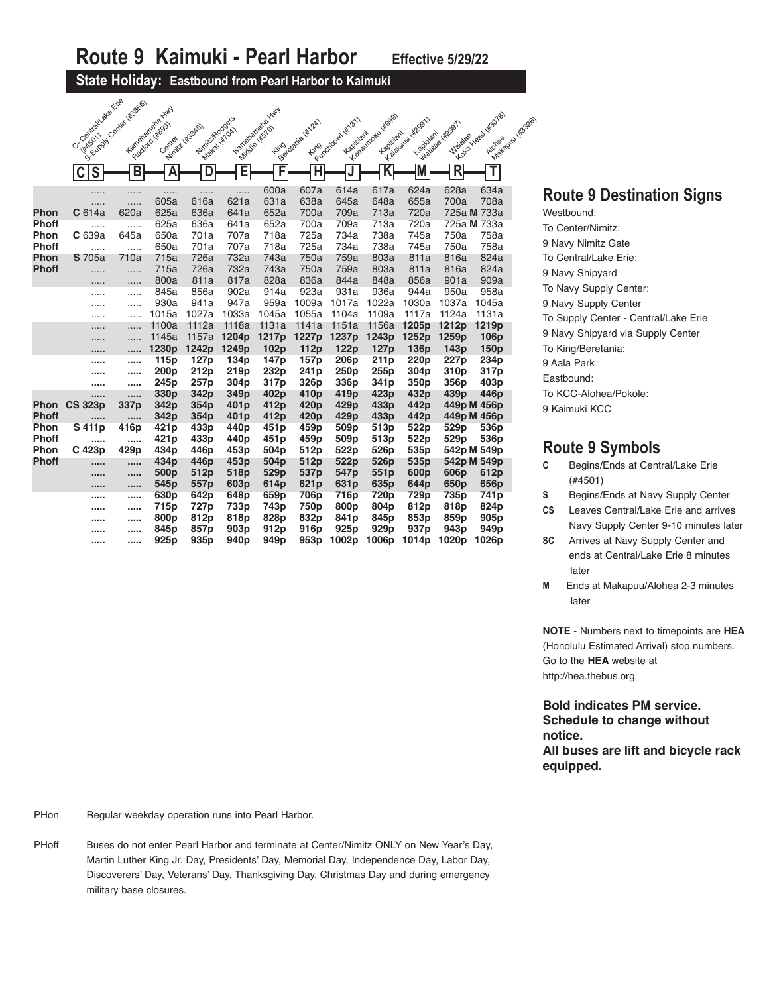#### **State Holiday: Eastbound from Pearl Harbor to Kaimuki**

|              | Crossitialiate Erie | You content was seen in the | Kenteraneteche Kirty       |                                |                  |                                     |                  |                           |                          |                           |                         |                                         |  |
|--------------|---------------------|-----------------------------|----------------------------|--------------------------------|------------------|-------------------------------------|------------------|---------------------------|--------------------------|---------------------------|-------------------------|-----------------------------------------|--|
|              |                     |                             | Paddod (#699)              | Nimit/Rodge's<br>Minite 45346) |                  | Karteraneteks Kirl                  | Belgiada Wiza    | Punchoose Hitles          | Y regiment wasa          | Y claydralis limper       | Maiava (Kr2951)         | You you do lisotal<br>Makedou (Kr.5326) |  |
|              | <b>WASOT</b>        |                             | Center                     |                                | Maka Lifroki     | <b>Middle (#579)</b><br><b>Fing</b> |                  | Kapidlam                  | Kapidani                 | Kapiolari                 | <b>Waialae</b>          |                                         |  |
|              |                     |                             |                            |                                |                  |                                     |                  |                           |                          |                           |                         |                                         |  |
|              | S                   | В                           | A                          | D                              | E                | F                                   | Ή                |                           | $\overline{\mathsf{K}}$  |                           | $\overline{\mathsf{R}}$ | T                                       |  |
|              | .                   | .                           | .                          | .                              | .                | 600a                                | 607a             | 614a                      | 617a                     | 624a                      | 628a                    | 634a                                    |  |
|              | .                   | .                           | 605a                       | 616a                           | 621a             | 631a                                | 638a             | 645a                      | 648a                     | 655a                      | 700a                    | 708a                                    |  |
| Phon         | C <sub>614a</sub>   | 620a                        | 625a                       | 636a                           | 641a             | 652a                                | 700a             | 709a                      | 713a                     | 720a                      |                         | 725a M 733a                             |  |
| <b>Phoff</b> | .                   | .                           | 625a                       | 636a                           | 641a             | 652a                                | 700a             | 709a                      | 713a                     | 720a                      |                         | 725a M 733a                             |  |
| Phon         | C 639a              | 645a                        | 650a                       | 701a                           | 707a             | 718a                                | 725a             | 734a                      | 738a                     | 745a                      | 750a                    | 758a                                    |  |
| <b>Phoff</b> | .                   | .                           | 650a                       | 701a                           | 707a             | 718a                                | 725a             | 734a                      | 738a                     | 745a                      | 750a                    | 758a                                    |  |
| Phon         | <b>S</b> 705a       | 710a                        | 715a                       | 726a                           | 732a             | 743a                                | 750a             | 759a                      | 803a                     | 811a                      | 816a                    | 824a                                    |  |
| <b>Phoff</b> | .                   | .                           | 715a                       | 726a                           | 732a             | 743a                                | 750a             | 759a                      | 803a                     | 811a                      | 816a                    | 824a                                    |  |
|              | .                   | .                           | 800a                       | 811a                           | 817a             | 828a                                | 836a             | 844a                      | 848a                     | 856a                      | 901a                    | 909a                                    |  |
|              | .                   | .                           | 845a                       | 856a                           | 902a             | 914a                                | 923a             | 931a                      | 936a                     | 944a                      | 950a                    | 958a                                    |  |
|              |                     | .                           | 930a                       | 941a                           | 947a             | 959a                                | 1009a            | 1017a                     | 1022a                    | 1030a                     | 1037a                   | 1045a                                   |  |
|              | .                   | .                           | 1015a                      | 1027a                          | 1033a            | 1045a                               | 1055a            | 1104a                     | 1109a                    | 1117a                     | 1124a                   | 1131a                                   |  |
|              |                     | .                           | 1100a                      | 1112a                          | 1118a            | 1131a                               | 1141a            | 1151a                     | 1156a                    | 1205p                     | 1212p                   | 1219p                                   |  |
|              | .                   | .                           | 1145a<br>1230 <sub>p</sub> | 1157a<br>1242p                 | 1204p<br>1249p   | 1217p<br>102p                       | 1227p<br>112p    | 1237p<br>122 <sub>p</sub> | 1243p<br>127p            | 1252p<br>136 <sub>p</sub> | 1259p                   | 106 <sub>p</sub><br>150 <sub>p</sub>    |  |
|              |                     |                             |                            |                                |                  |                                     |                  |                           |                          |                           |                         |                                         |  |
|              |                     |                             |                            |                                |                  |                                     |                  |                           |                          |                           | 143p                    |                                         |  |
|              |                     |                             | 115p                       | 127 <sub>p</sub>               | 134 <sub>p</sub> | 147 <sub>p</sub>                    | 157p             | 206 <sub>p</sub>          | 211 <sub>p</sub>         | 220 <sub>p</sub>          | 227 <sub>p</sub>        | 234 <sub>p</sub>                        |  |
|              |                     |                             | 200 <sub>p</sub>           | 212p                           | 219 <sub>p</sub> | 232p                                | 241 <sub>p</sub> | 250 <sub>p</sub>          | 255p                     | 304 <sub>p</sub>          | 310 <sub>p</sub>        | 317 <sub>p</sub>                        |  |
|              | 11111               |                             | 245p                       | 257p                           | 304 <sub>p</sub> | 317p                                | 326p             | 336p                      | 341 <sub>p</sub>         | 350 <sub>p</sub>          | 356p                    | 403 <sub>p</sub>                        |  |
|              |                     | .                           | 330p                       | 342p                           | 349 <sub>p</sub> | 402p                                | 410 <sub>p</sub> | 419p                      | 423p                     | 432p                      | 439p                    | 446 <sub>p</sub>                        |  |
| <b>Phon</b>  | <b>CS 323p</b>      | 337p                        | 342p                       | 354p                           | 401 <sub>p</sub> | 412p                                | 420 <sub>p</sub> | 429p                      | 433p                     | 442p                      |                         | 449p M 456p                             |  |
| <b>Phoff</b> |                     |                             | 342p                       | 354p                           | 401 <sub>p</sub> | 412p                                | 420 <sub>p</sub> | 429p                      | 433p                     | 442p                      |                         | 449p M 456p                             |  |
| Phon         | S 411p              | 416p                        | 421p                       | 433p                           | 440 <sub>p</sub> | 451 <sub>p</sub>                    | 459p             | 509p                      | 513p                     | 522p                      | 529p                    | 536p                                    |  |
| <b>Phoff</b> |                     |                             | 421p                       | 433p                           | 440 <sub>p</sub> | 451 <sub>p</sub>                    | 459 <sub>p</sub> | 509 <sub>p</sub>          | 513p                     | 522p                      | 529p                    | 536 <sub>p</sub>                        |  |
| Phon         | C 423p<br>          | 429p<br>                    | 434 <sub>p</sub>           | 446p                           | 453p             | 504 <sub>p</sub>                    | 512p             | 522p                      | 526p                     | 535 <sub>p</sub>          |                         | 542p M 549p                             |  |
| <b>Phoff</b> |                     |                             | 434p<br>500p               | 446p<br>512p                   | 453p<br>518p     | 504 <sub>p</sub><br>529p            | 512p<br>537p     | 522p<br>547 <sub>p</sub>  | 526 <sub>p</sub><br>551p | 535 <sub>p</sub><br>600p  | 606p                    | 542p M 549p<br>612p                     |  |
|              | 1.1.1.1             |                             | 545p                       | 557p                           | 603p             | 614p                                | 621 <sub>p</sub> | 631 <sub>p</sub>          | 635 <sub>p</sub>         | 644p                      | 650p                    | 656p                                    |  |
|              |                     |                             |                            | 642p                           | 648p             | 659p                                | 706p             | 716p                      | 720p                     | 729 <sub>p</sub>          | 735p                    | 741p                                    |  |
|              |                     |                             | 630p                       | 727p                           | 733p             | 743p                                | 750p             | 800p                      | 804p                     | 812p                      | 818p                    | 824p                                    |  |
|              |                     |                             | 715p<br>800p               | 812p                           | 818p             | 828p                                | 832p             | 841p                      | 845p                     | 853p                      | 859p                    | 905 <sub>p</sub>                        |  |
|              |                     |                             | 845p                       | 857p                           | 903p             | 912p                                | 916 <sub>p</sub> | 925 <sub>p</sub>          | 929 <sub>p</sub>         | 937 <sub>p</sub>          | 943 <sub>p</sub>        | 949 <sub>p</sub>                        |  |

### **Route 9 Destination Signs**

Westbound: To Center/Nimitz: 9 Navy Nimitz Gate To Central/Lake Erie: 9 Navy Shipyard To Navy Supply Center: 9 Navy Supply Center To Supply Center - Central/Lake Erie 9 Navy Shipyard via Supply Center To King/Beretania: 9 Aala Park Eastbound: To KCC-Alohea/Pokole: 9 Kaimuki KCC

#### **Route 9 Symbols**

- **C** Begins/Ends at Central/Lake Erie (#4501)
- **S** Begins/Ends at Navy Supply Center
- **CS** Leaves Central/Lake Erie and arrives Navy Supply Center 9-10 minutes later
- **SC** Arrives at Navy Supply Center and ends at Central/Lake Erie 8 minutes later
- **M** Ends at Makapuu/Alohea 2-3 minutes later

**NOTE** - Numbers next to timepoints are **HEA** (Honolulu Estimated Arrival) stop numbers. Go to the **HEA** website at http://hea.thebus.org.

**Bold indicates PM service. Schedule to change without notice. All buses are lift and bicycle rack equipped.**

PHon **Regular weekday operation runs into Pearl Harbor.** 

PHoffBuses do not enter Pearl Harbor and terminate at Center/Nimitz ONLY on New Year's Day, Martin Luther King Jr. Day, Presidents' Day, Memorial Day, Independence Day, Labor Day, Discoverers' Day, Veterans' Day, Thanksgiving Day, Christmas Day and during emergency military base closures.